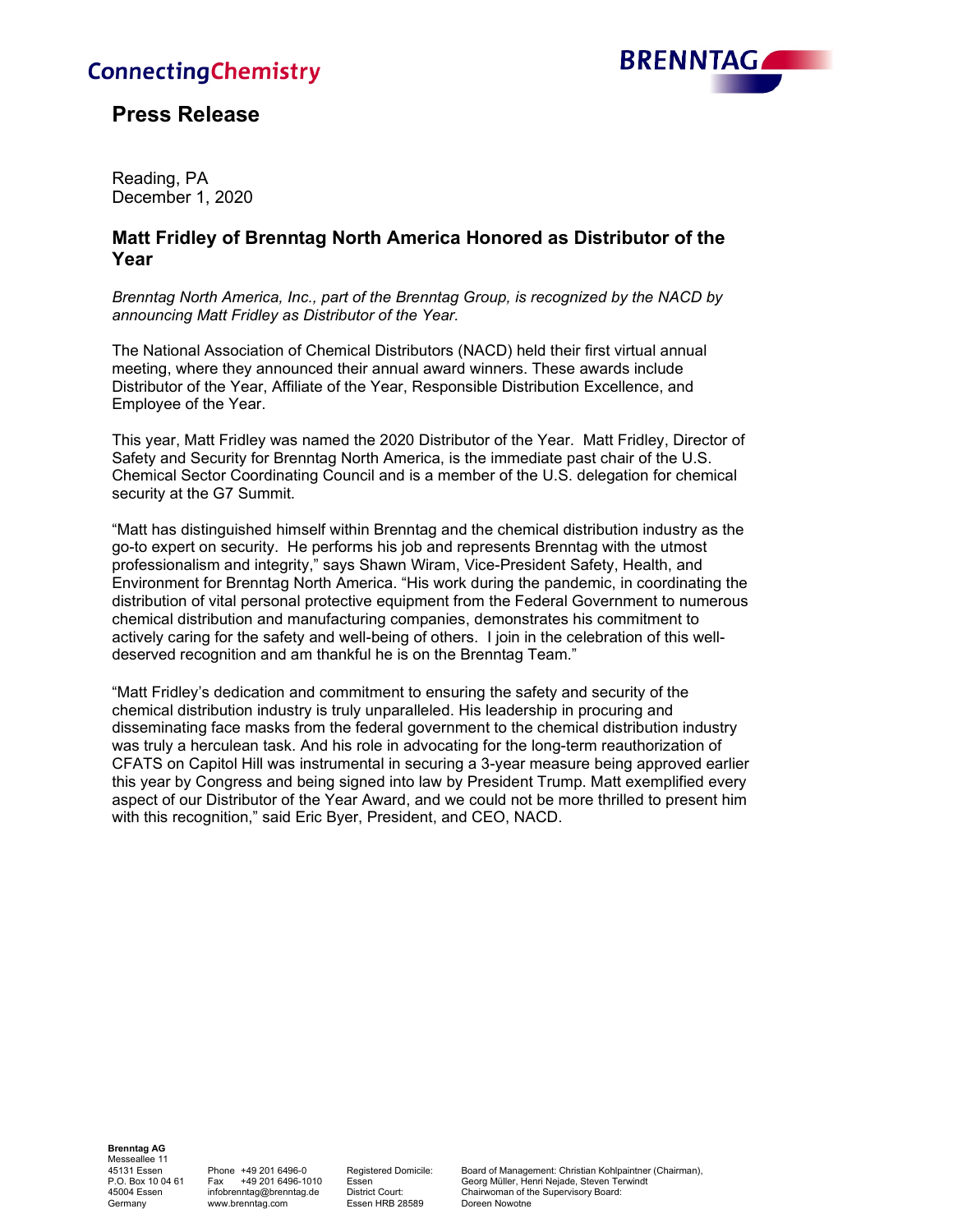# **ConnectingChemistry**



## **Press Release**

Reading, PA December 1, 2020

### **Matt Fridley of Brenntag North America Honored as Distributor of the Year**

*Brenntag North America, Inc., part of the Brenntag Group, is recognized by the NACD by announcing Matt Fridley as Distributor of the Year.*

The National Association of Chemical Distributors (NACD) held their first virtual annual meeting, where they announced their annual award winners. These awards include Distributor of the Year, Affiliate of the Year, Responsible Distribution Excellence, and Employee of the Year.

This year, Matt Fridley was named the 2020 Distributor of the Year. Matt Fridley, Director of Safety and Security for Brenntag North America, is the immediate past chair of the U.S. Chemical Sector Coordinating Council and is a member of the U.S. delegation for chemical security at the G7 Summit.

"Matt has distinguished himself within Brenntag and the chemical distribution industry as the go-to expert on security. He performs his job and represents Brenntag with the utmost professionalism and integrity," says Shawn Wiram, Vice-President Safety, Health, and Environment for Brenntag North America. "His work during the pandemic, in coordinating the distribution of vital personal protective equipment from the Federal Government to numerous chemical distribution and manufacturing companies, demonstrates his commitment to actively caring for the safety and well-being of others. I join in the celebration of this welldeserved recognition and am thankful he is on the Brenntag Team."

"Matt Fridley's dedication and commitment to ensuring the safety and security of the chemical distribution industry is truly unparalleled. His leadership in procuring and disseminating face masks from the federal government to the chemical distribution industry was truly a herculean task. And his role in advocating for the long-term reauthorization of CFATS on Capitol Hill was instrumental in securing a 3-year measure being approved earlier this year by Congress and being signed into law by President Trump. Matt exemplified every aspect of our Distributor of the Year Award, and we could not be more thrilled to present him with this recognition," said Eric Byer, President, and CEO, NACD.

**Brenntag AG** Messeallee 11<br>45131 Essen

Essen HRB 28589

45131 Essen Phone +49 201 6496-0 Registered Domicile: Board of Management: Christian Kohlpaintner (Chairman), Essen Georg Müller, Henri Nejade, Steven Terwindt<br>District Court: Chairwoman of the Supervisory Board: 45004 Essen infobrenntag@brenntag.de District Court: Chairwoman of the Supervisory Board:<br>Germany www.brenntag.com Essen HRB 28589 Doreen Nowotne